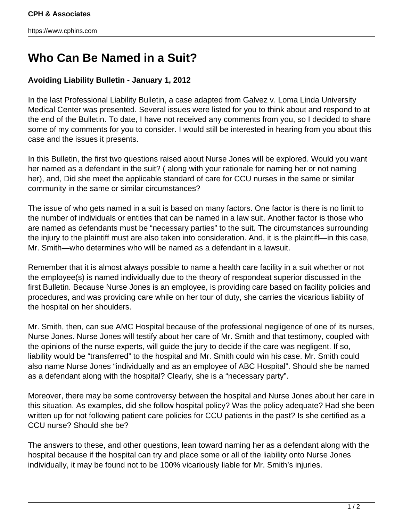# **Who Can Be Named in a Suit?**

## **Avoiding Liability Bulletin - January 1, 2012**

In the last Professional Liability Bulletin, a case adapted from Galvez v. Loma Linda University Medical Center was presented. Several issues were listed for you to think about and respond to at the end of the Bulletin. To date, I have not received any comments from you, so I decided to share some of my comments for you to consider. I would still be interested in hearing from you about this case and the issues it presents.

In this Bulletin, the first two questions raised about Nurse Jones will be explored. Would you want her named as a defendant in the suit? ( along with your rationale for naming her or not naming her), and, Did she meet the applicable standard of care for CCU nurses in the same or similar community in the same or similar circumstances?

The issue of who gets named in a suit is based on many factors. One factor is there is no limit to the number of individuals or entities that can be named in a law suit. Another factor is those who are named as defendants must be "necessary parties" to the suit. The circumstances surrounding the injury to the plaintiff must are also taken into consideration. And, it is the plaintiff—in this case, Mr. Smith—who determines who will be named as a defendant in a lawsuit.

Remember that it is almost always possible to name a health care facility in a suit whether or not the employee(s) is named individually due to the theory of respondeat superior discussed in the first Bulletin. Because Nurse Jones is an employee, is providing care based on facility policies and procedures, and was providing care while on her tour of duty, she carries the vicarious liability of the hospital on her shoulders.

Mr. Smith, then, can sue AMC Hospital because of the professional negligence of one of its nurses, Nurse Jones. Nurse Jones will testify about her care of Mr. Smith and that testimony, coupled with the opinions of the nurse experts, will guide the jury to decide if the care was negligent. If so, liability would be "transferred" to the hospital and Mr. Smith could win his case. Mr. Smith could also name Nurse Jones "individually and as an employee of ABC Hospital". Should she be named as a defendant along with the hospital? Clearly, she is a "necessary party".

Moreover, there may be some controversy between the hospital and Nurse Jones about her care in this situation. As examples, did she follow hospital policy? Was the policy adequate? Had she been written up for not following patient care policies for CCU patients in the past? Is she certified as a CCU nurse? Should she be?

The answers to these, and other questions, lean toward naming her as a defendant along with the hospital because if the hospital can try and place some or all of the liability onto Nurse Jones individually, it may be found not to be 100% vicariously liable for Mr. Smith's injuries.